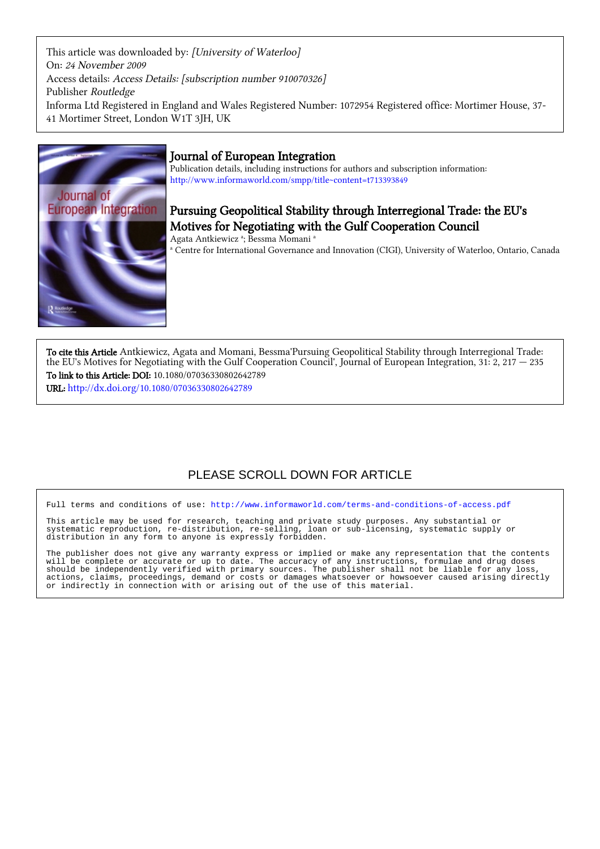This article was downloaded by: [University of Waterloo] On: 24 November 2009 Access details: Access Details: [subscription number 910070326] Publisher Routledge Informa Ltd Registered in England and Wales Registered Number: 1072954 Registered office: Mortimer House, 37- 41 Mortimer Street, London W1T 3JH, UK



## Journal of European Integration

Publication details, including instructions for authors and subscription information: <http://www.informaworld.com/smpp/title~content=t713393849>

# Pursuing Geopolitical Stability through Interregional Trade: the EU's Motives for Negotiating with the Gulf Cooperation Council

Agata Antkiewicz<sup>a</sup>; Bessma Momani<sup>a</sup> a Centre for International Governance and Innovation (CIGI), University of Waterloo, Ontario, Canada

To cite this Article Antkiewicz, Agata and Momani, Bessma'Pursuing Geopolitical Stability through Interregional Trade: the EU's Motives for Negotiating with the Gulf Cooperation Council', Journal of European Integration, 31: 2, 217 — 235 To link to this Article: DOI: 10.1080/07036330802642789

URL: <http://dx.doi.org/10.1080/07036330802642789>

# PLEASE SCROLL DOWN FOR ARTICLE

Full terms and conditions of use:<http://www.informaworld.com/terms-and-conditions-of-access.pdf>

This article may be used for research, teaching and private study purposes. Any substantial or systematic reproduction, re-distribution, re-selling, loan or sub-licensing, systematic supply or distribution in any form to anyone is expressly forbidden.

The publisher does not give any warranty express or implied or make any representation that the contents will be complete or accurate or up to date. The accuracy of any instructions, formulae and drug doses should be independently verified with primary sources. The publisher shall not be liable for any loss, actions, claims, proceedings, demand or costs or damages whatsoever or howsoever caused arising directly or indirectly in connection with or arising out of the use of this material.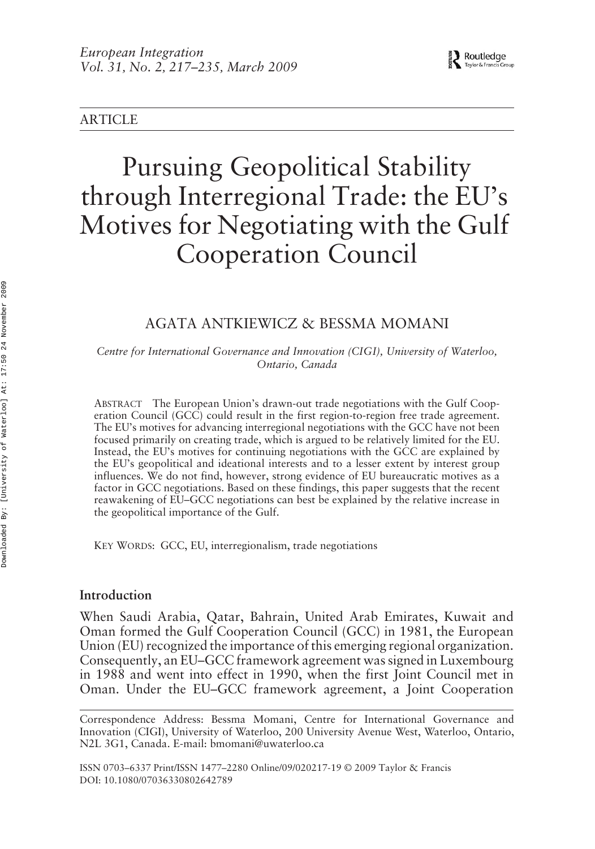# Pursuing Geopolitical Stability through Interregional Trade: the EU's Motives for Negotiating with the Gulf Cooperation Council

### AGATA ANTKIEWICZ & BESSMA MOMANI

*Centre for International Governance and Innovation (CIGI), University of Waterloo, Ontario, Canada*

ABSTRACT The European Union's drawn-out trade negotiations with the Gulf Cooperation Council (GCC) could result in the first region-to-region free trade agreement. The EU's motives for advancing interregional negotiations with the GCC have not been focused primarily on creating trade, which is argued to be relatively limited for the EU. Instead, the EU's motives for continuing negotiations with the GCC are explained by the EU's geopolitical and ideational interests and to a lesser extent by interest group influences. We do not find, however, strong evidence of EU bureaucratic motives as a factor in GCC negotiations. Based on these findings, this paper suggests that the recent reawakening of EU–GCC negotiations can best be explained by the relative increase in the geopolitical importance of the Gulf.

KEY WORDS: GCC, EU, interregionalism, trade negotiations

#### **Introduction**

When Saudi Arabia, Qatar, Bahrain, United Arab Emirates, Kuwait and Oman formed the Gulf Cooperation Council (GCC) in 1981, the European Union (EU) recognized the importance of this emerging regional organization. Consequently, an EU–GCC framework agreement was signed in Luxembourg in 1988 and went into effect in 1990, when the first Joint Council met in Oman. Under the EU–GCC framework agreement, a Joint Cooperation

ISSN 0703–6337 Print/ISSN 1477–2280 Online/09/020217-19 © 2009 Taylor & Francis DOI: 10.1080/07036330802642789

Correspondence Address: Bessma Momani, Centre for International Governance and Innovation (CIGI), University of Waterloo, 200 University Avenue West, Waterloo, Ontario, N2L 3G1, Canada. E-mail: bmomani@uwaterloo.ca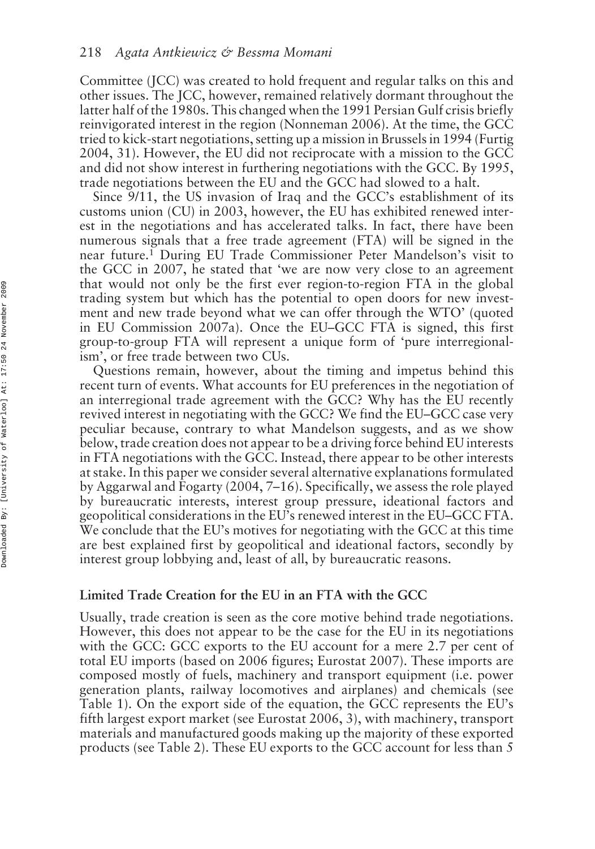Committee (JCC) was created to hold frequent and regular talks on this and other issues. The JCC, however, remained relatively dormant throughout the latter half of the 1980s. This changed when the 1991 Persian Gulf crisis briefly reinvigorated interest in the region (Nonneman 2006). At the time, the GCC tried to kick-start negotiations, setting up a mission in Brussels in 1994 (Furtig 2004, 31). However, the EU did not reciprocate with a mission to the GCC and did not show interest in furthering negotiations with the GCC. By 1995, trade negotiations between the EU and the GCC had slowed to a halt.

Since 9/11, the US invasion of Iraq and the GCC's establishment of its customs union (CU) in 2003, however, the EU has exhibited renewed interest in the negotiations and has accelerated talks. In fact, there have been numerous signals that a free trade agreement (FTA) will be signed in the near future.1 During EU Trade Commissioner Peter Mandelson's visit to the GCC in 2007, he stated that 'we are now very close to an agreement that would not only be the first ever region-to-region FTA in the global trading system but which has the potential to open doors for new investment and new trade beyond what we can offer through the WTO' (quoted in EU Commission 2007a). Once the EU–GCC FTA is signed, this first group-to-group FTA will represent a unique form of 'pure interregionalism', or free trade between two CUs.

Questions remain, however, about the timing and impetus behind this recent turn of events. What accounts for EU preferences in the negotiation of an interregional trade agreement with the GCC? Why has the EU recently revived interest in negotiating with the GCC? We find the EU–GCC case very peculiar because, contrary to what Mandelson suggests, and as we show below, trade creation does not appear to be a driving force behind EU interests in FTA negotiations with the GCC. Instead, there appear to be other interests at stake. In this paper we consider several alternative explanations formulated by Aggarwal and Fogarty (2004, 7–16). Specifically, we assess the role played by bureaucratic interests, interest group pressure, ideational factors and geopolitical considerations in the EU's renewed interest in the EU–GCC FTA. We conclude that the EU's motives for negotiating with the GCC at this time are best explained first by geopolitical and ideational factors, secondly by interest group lobbying and, least of all, by bureaucratic reasons.

#### **Limited Trade Creation for the EU in an FTA with the GCC**

Usually, trade creation is seen as the core motive behind trade negotiations. However, this does not appear to be the case for the EU in its negotiations with the GCC: GCC exports to the EU account for a mere 2.7 per cent of total EU imports (based on 2006 figures; Eurostat 2007). These imports are composed mostly of fuels, machinery and transport equipment (i.e. power generation plants, railway locomotives and airplanes) and chemicals (see Table 1). On the export side of the equation, the GCC represents the EU's fifth largest export market (see Eurostat 2006, 3), with machinery, transport materials and manufactured goods making up the majority of these exported products (see Table 2). These EU exports to the GCC account for less than 5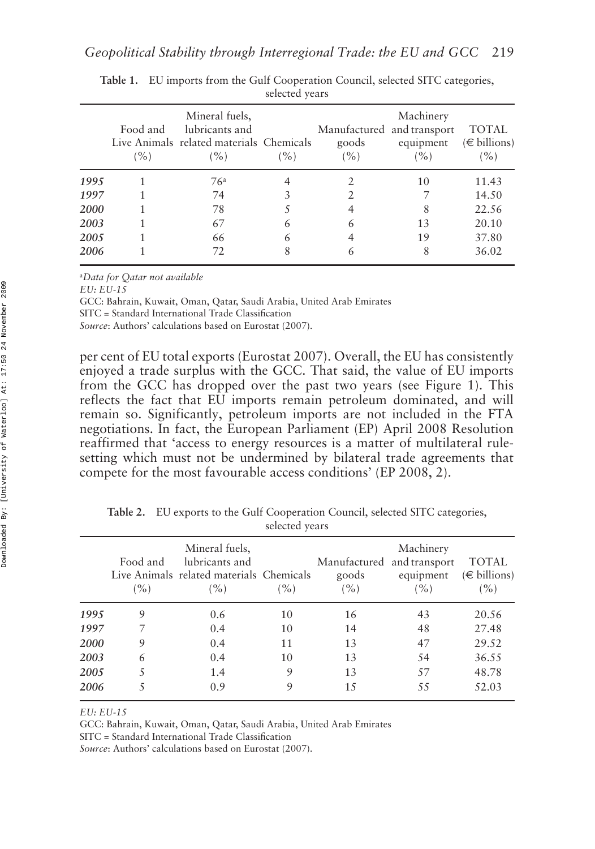| 1995<br>1997<br>2000<br>2003<br>2005<br>2006 | Food and<br>(%) | Mineral fuels,<br>lubricants and<br>Live Animals related materials Chemicals<br>(%) | (%) | Manufactured and transport<br>goods<br>(%) | Machinery<br>equipment<br>(%) | <b>TOTAL</b><br>$(\in$ billions)<br>(%) |
|----------------------------------------------|-----------------|-------------------------------------------------------------------------------------|-----|--------------------------------------------|-------------------------------|-----------------------------------------|
|                                              |                 | 76 <sup>a</sup>                                                                     |     |                                            | 10                            | 11.43                                   |
|                                              |                 | 74                                                                                  |     |                                            |                               | 14.50                                   |
|                                              |                 | 78                                                                                  |     |                                            | 8                             | 22.56                                   |
|                                              |                 | 67                                                                                  | 6   | 6                                          | 13                            | 20.10                                   |
|                                              |                 | 66                                                                                  | 6   |                                            | 19                            | 37.80                                   |
|                                              |                 | 72                                                                                  | 8   | 6                                          | 8                             | 36.02                                   |
|                                              |                 |                                                                                     |     |                                            |                               |                                         |

**Table 1.** EU imports from the Gulf Cooperation Council, selected SITC categories, selected years

<sup>a</sup>*Data for Qatar not available*

*EU: EU-15*

GCC: Bahrain, Kuwait, Oman, Qatar, Saudi Arabia, United Arab Emirates

SITC = Standard International Trade Classification

*Source*: Authors' calculations based on Eurostat (2007).

per cent of EU total exports (Eurostat 2007). Overall, the EU has consistently enjoyed a trade surplus with the GCC. That said, the value of EU imports from the GCC has dropped over the past two years (see Figure 1). This reflects the fact that EU imports remain petroleum dominated, and will remain so. Significantly, petroleum imports are not included in the FTA negotiations. In fact, the European Parliament (EP) April 2008 Resolution reaffirmed that 'access to energy resources is a matter of multilateral rulesetting which must not be undermined by bilateral trade agreements that compete for the most favourable access conditions' (EP 2008, 2).

|      | Food and<br>$( \% )$ | Mineral fuels,<br>lubricants and<br>Live Animals related materials Chemicals<br>$\frac{9}{6}$ | (%) | Manufactured and transport<br>goods<br>(%) | Machinery<br>equipment<br>(%) | <b>TOTAL</b><br>$(\in$ billions)<br>(%) |
|------|----------------------|-----------------------------------------------------------------------------------------------|-----|--------------------------------------------|-------------------------------|-----------------------------------------|
| 1995 | 9                    | 0.6                                                                                           | 10  | 16                                         | 43                            | 20.56                                   |
| 1997 |                      | 0.4                                                                                           | 10  | 14                                         | 48                            | 27.48                                   |
| 2000 | 9                    | 0.4                                                                                           | 11  | 13                                         | 47                            | 29.52                                   |
| 2003 | 6                    | 0.4                                                                                           | 10  | 13                                         | 54                            | 36.55                                   |
| 2005 | 5                    | 1.4                                                                                           | 9   | 13                                         | 57                            | 48.78                                   |
| 2006 |                      | 0.9                                                                                           | 9   | 15                                         | 55                            | 52.03                                   |

**Table 2.** EU exports to the Gulf Cooperation Council, selected SITC categories, selected years

*EU: EU-15*

GCC: Bahrain, Kuwait, Oman, Qatar, Saudi Arabia, United Arab Emirates

SITC = Standard International Trade Classification

*Source*: Authors' calculations based on Eurostat (2007).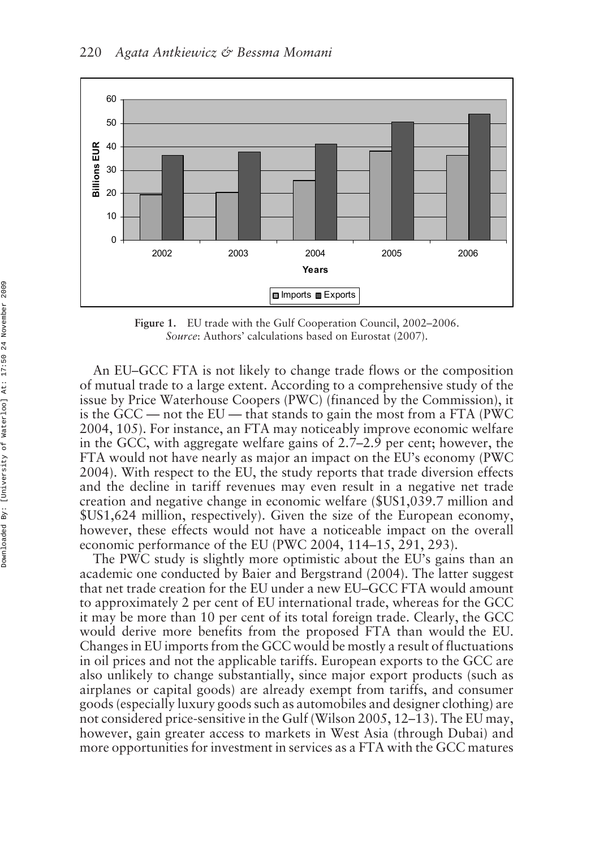

**Figure 1.** EU trade with the Gulf Cooperation Council, 2002–2006. *Source*: Authors' calculations based on Eurostat (2007).

An EU–GCC FTA is not likely to change trade flows or the composition of mutual trade to a large extent. According to a comprehensive study of the issue by Price Waterhouse Coopers (PWC) (financed by the Commission), it is the GCC — not the EU — that stands to gain the most from a FTA (PWC 2004, 105). For instance, an FTA may noticeably improve economic welfare in the GCC, with aggregate welfare gains of 2.7–2.9 per cent; however, the FTA would not have nearly as major an impact on the EU's economy (PWC 2004). With respect to the EU, the study reports that trade diversion effects and the decline in tariff revenues may even result in a negative net trade creation and negative change in economic welfare (\$US1,039.7 million and \$US1,624 million, respectively). Given the size of the European economy, however, these effects would not have a noticeable impact on the overall economic performance of the EU (PWC 2004, 114–15, 291, 293).

The PWC study is slightly more optimistic about the EU's gains than an academic one conducted by Baier and Bergstrand (2004). The latter suggest that net trade creation for the EU under a new EU–GCC FTA would amount to approximately 2 per cent of EU international trade, whereas for the GCC it may be more than 10 per cent of its total foreign trade. Clearly, the GCC would derive more benefits from the proposed FTA than would the EU. Changes in EU imports from the GCC would be mostly a result of fluctuations in oil prices and not the applicable tariffs. European exports to the GCC are also unlikely to change substantially, since major export products (such as airplanes or capital goods) are already exempt from tariffs, and consumer goods (especially luxury goods such as automobiles and designer clothing) are not considered price-sensitive in the Gulf (Wilson 2005, 12–13). The EU may, however, gain greater access to markets in West Asia (through Dubai) and more opportunities for investment in services as a FTA with the GCC matures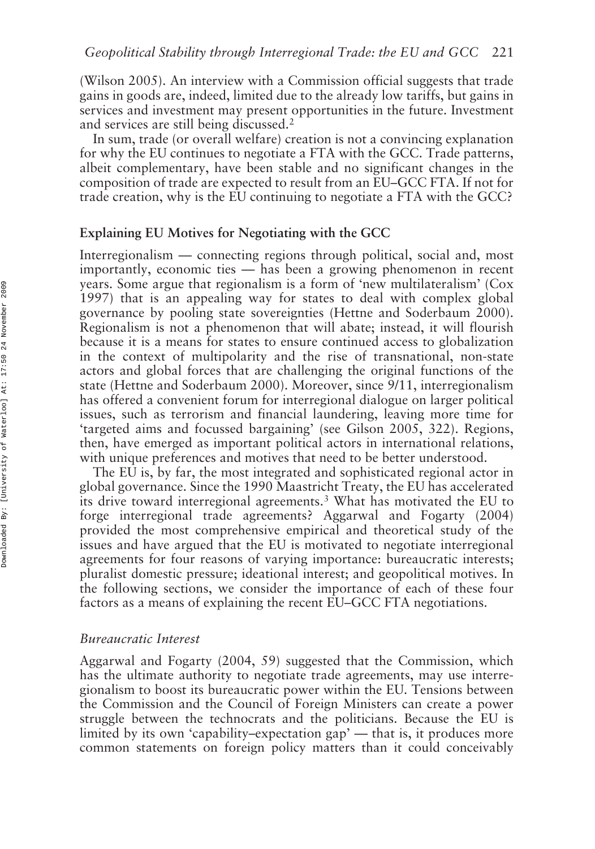(Wilson 2005). An interview with a Commission official suggests that trade gains in goods are, indeed, limited due to the already low tariffs, but gains in services and investment may present opportunities in the future. Investment and services are still being discussed.2

In sum, trade (or overall welfare) creation is not a convincing explanation for why the EU continues to negotiate a FTA with the GCC. Trade patterns, albeit complementary, have been stable and no significant changes in the composition of trade are expected to result from an EU–GCC FTA. If not for trade creation, why is the EU continuing to negotiate a FTA with the GCC?

#### **Explaining EU Motives for Negotiating with the GCC**

Interregionalism — connecting regions through political, social and, most importantly, economic ties — has been a growing phenomenon in recent years. Some argue that regionalism is a form of 'new multilateralism' (Cox 1997) that is an appealing way for states to deal with complex global governance by pooling state sovereignties (Hettne and Soderbaum 2000). Regionalism is not a phenomenon that will abate; instead, it will flourish because it is a means for states to ensure continued access to globalization in the context of multipolarity and the rise of transnational, non-state actors and global forces that are challenging the original functions of the state (Hettne and Soderbaum 2000). Moreover, since 9/11, interregionalism has offered a convenient forum for interregional dialogue on larger political issues, such as terrorism and financial laundering, leaving more time for 'targeted aims and focussed bargaining' (see Gilson 2005, 322). Regions, then, have emerged as important political actors in international relations, with unique preferences and motives that need to be better understood.

The EU is, by far, the most integrated and sophisticated regional actor in global governance. Since the 1990 Maastricht Treaty, the EU has accelerated its drive toward interregional agreements.3 What has motivated the EU to forge interregional trade agreements? Aggarwal and Fogarty (2004) provided the most comprehensive empirical and theoretical study of the issues and have argued that the EU is motivated to negotiate interregional agreements for four reasons of varying importance: bureaucratic interests; pluralist domestic pressure; ideational interest; and geopolitical motives. In the following sections, we consider the importance of each of these four factors as a means of explaining the recent EU–GCC FTA negotiations.

#### *Bureaucratic Interest*

Aggarwal and Fogarty (2004, 59) suggested that the Commission, which has the ultimate authority to negotiate trade agreements, may use interregionalism to boost its bureaucratic power within the EU. Tensions between the Commission and the Council of Foreign Ministers can create a power struggle between the technocrats and the politicians. Because the EU is limited by its own 'capability–expectation gap' — that is, it produces more common statements on foreign policy matters than it could conceivably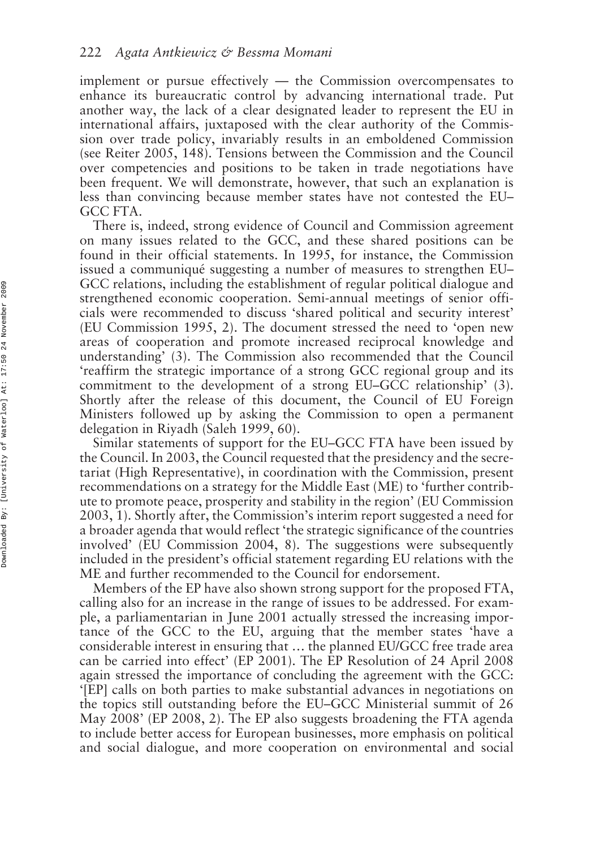implement or pursue effectively — the Commission overcompensates to enhance its bureaucratic control by advancing international trade. Put another way, the lack of a clear designated leader to represent the EU in international affairs, juxtaposed with the clear authority of the Commission over trade policy, invariably results in an emboldened Commission (see Reiter 2005, 148). Tensions between the Commission and the Council over competencies and positions to be taken in trade negotiations have been frequent. We will demonstrate, however, that such an explanation is less than convincing because member states have not contested the EU– GCC FTA.

There is, indeed, strong evidence of Council and Commission agreement on many issues related to the GCC, and these shared positions can be found in their official statements. In 1995, for instance, the Commission issued a communiqué suggesting a number of measures to strengthen EU– GCC relations, including the establishment of regular political dialogue and strengthened economic cooperation. Semi-annual meetings of senior officials were recommended to discuss 'shared political and security interest' (EU Commission 1995, 2). The document stressed the need to 'open new areas of cooperation and promote increased reciprocal knowledge and understanding' (3). The Commission also recommended that the Council 'reaffirm the strategic importance of a strong GCC regional group and its commitment to the development of a strong EU–GCC relationship' (3). Shortly after the release of this document, the Council of EU Foreign Ministers followed up by asking the Commission to open a permanent delegation in Riyadh (Saleh 1999, 60).

Similar statements of support for the EU–GCC FTA have been issued by the Council. In 2003, the Council requested that the presidency and the secretariat (High Representative), in coordination with the Commission, present recommendations on a strategy for the Middle East (ME) to 'further contribute to promote peace, prosperity and stability in the region' (EU Commission 2003, 1). Shortly after, the Commission's interim report suggested a need for a broader agenda that would reflect 'the strategic significance of the countries involved' (EU Commission 2004, 8). The suggestions were subsequently included in the president's official statement regarding EU relations with the ME and further recommended to the Council for endorsement.

Members of the EP have also shown strong support for the proposed FTA, calling also for an increase in the range of issues to be addressed. For example, a parliamentarian in June 2001 actually stressed the increasing importance of the GCC to the EU, arguing that the member states 'have a considerable interest in ensuring that … the planned EU/GCC free trade area can be carried into effect' (EP 2001). The EP Resolution of 24 April 2008 again stressed the importance of concluding the agreement with the GCC: '[EP] calls on both parties to make substantial advances in negotiations on the topics still outstanding before the EU–GCC Ministerial summit of 26 May 2008' (EP 2008, 2). The EP also suggests broadening the FTA agenda to include better access for European businesses, more emphasis on political and social dialogue, and more cooperation on environmental and social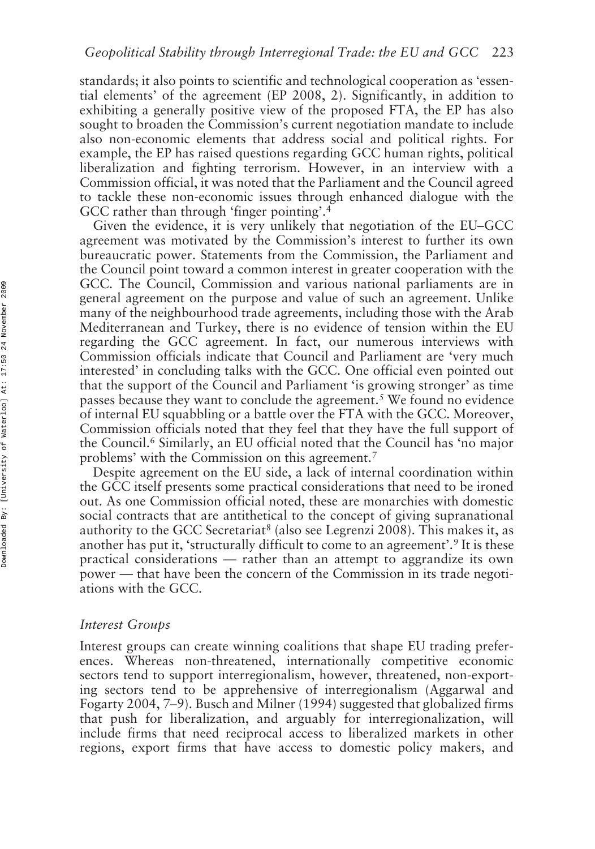standards; it also points to scientific and technological cooperation as 'essential elements' of the agreement (EP 2008, 2). Significantly, in addition to exhibiting a generally positive view of the proposed FTA, the EP has also sought to broaden the Commission's current negotiation mandate to include also non-economic elements that address social and political rights. For example, the EP has raised questions regarding GCC human rights, political liberalization and fighting terrorism. However, in an interview with a Commission official, it was noted that the Parliament and the Council agreed to tackle these non-economic issues through enhanced dialogue with the GCC rather than through 'finger pointing'.<sup>4</sup>

Given the evidence, it is very unlikely that negotiation of the EU–GCC agreement was motivated by the Commission's interest to further its own bureaucratic power. Statements from the Commission, the Parliament and the Council point toward a common interest in greater cooperation with the GCC. The Council, Commission and various national parliaments are in general agreement on the purpose and value of such an agreement. Unlike many of the neighbourhood trade agreements, including those with the Arab Mediterranean and Turkey, there is no evidence of tension within the EU regarding the GCC agreement. In fact, our numerous interviews with Commission officials indicate that Council and Parliament are 'very much interested' in concluding talks with the GCC. One official even pointed out that the support of the Council and Parliament 'is growing stronger' as time passes because they want to conclude the agreement.5 We found no evidence of internal EU squabbling or a battle over the FTA with the GCC. Moreover, Commission officials noted that they feel that they have the full support of the Council.6 Similarly, an EU official noted that the Council has 'no major problems' with the Commission on this agreement.7

Despite agreement on the EU side, a lack of internal coordination within the GCC itself presents some practical considerations that need to be ironed out. As one Commission official noted, these are monarchies with domestic social contracts that are antithetical to the concept of giving supranational authority to the GCC Secretariat<sup>8</sup> (also see Legrenzi 2008). This makes it, as another has put it, 'structurally difficult to come to an agreement'.9 It is these practical considerations — rather than an attempt to aggrandize its own power — that have been the concern of the Commission in its trade negotiations with the GCC.

#### *Interest Groups*

Interest groups can create winning coalitions that shape EU trading preferences. Whereas non-threatened, internationally competitive economic sectors tend to support interregionalism, however, threatened, non-exporting sectors tend to be apprehensive of interregionalism (Aggarwal and Fogarty 2004, 7–9). Busch and Milner (1994) suggested that globalized firms that push for liberalization, and arguably for interregionalization, will include firms that need reciprocal access to liberalized markets in other regions, export firms that have access to domestic policy makers, and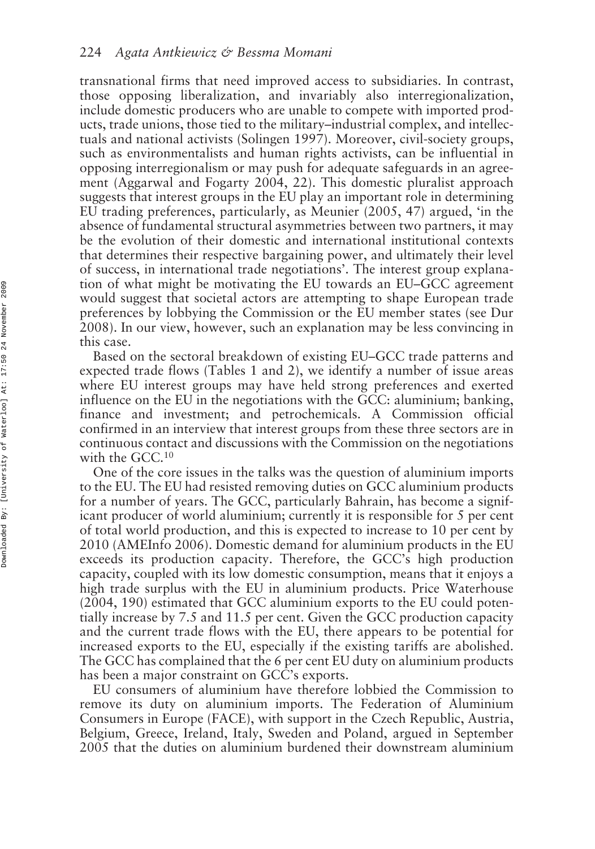transnational firms that need improved access to subsidiaries. In contrast, those opposing liberalization, and invariably also interregionalization, include domestic producers who are unable to compete with imported products, trade unions, those tied to the military–industrial complex, and intellectuals and national activists (Solingen 1997). Moreover, civil-society groups, such as environmentalists and human rights activists, can be influential in opposing interregionalism or may push for adequate safeguards in an agreement (Aggarwal and Fogarty 2004, 22). This domestic pluralist approach suggests that interest groups in the EU play an important role in determining EU trading preferences, particularly, as Meunier (2005, 47) argued, 'in the absence of fundamental structural asymmetries between two partners, it may be the evolution of their domestic and international institutional contexts that determines their respective bargaining power, and ultimately their level of success, in international trade negotiations'. The interest group explanation of what might be motivating the EU towards an EU–GCC agreement would suggest that societal actors are attempting to shape European trade preferences by lobbying the Commission or the EU member states (see Dur 2008). In our view, however, such an explanation may be less convincing in this case.

Based on the sectoral breakdown of existing EU–GCC trade patterns and expected trade flows (Tables 1 and 2), we identify a number of issue areas where EU interest groups may have held strong preferences and exerted influence on the EU in the negotiations with the GCC: aluminium; banking, finance and investment; and petrochemicals. A Commission official confirmed in an interview that interest groups from these three sectors are in continuous contact and discussions with the Commission on the negotiations with the GCC.10

One of the core issues in the talks was the question of aluminium imports to the EU. The EU had resisted removing duties on GCC aluminium products for a number of years. The GCC, particularly Bahrain, has become a significant producer of world aluminium; currently it is responsible for 5 per cent of total world production, and this is expected to increase to 10 per cent by 2010 (AMEInfo 2006). Domestic demand for aluminium products in the EU exceeds its production capacity. Therefore, the GCC's high production capacity, coupled with its low domestic consumption, means that it enjoys a high trade surplus with the EU in aluminium products. Price Waterhouse (2004, 190) estimated that GCC aluminium exports to the EU could potentially increase by 7.5 and 11.5 per cent. Given the GCC production capacity and the current trade flows with the EU, there appears to be potential for increased exports to the EU, especially if the existing tariffs are abolished. The GCC has complained that the 6 per cent EU duty on aluminium products has been a major constraint on GCC's exports.

EU consumers of aluminium have therefore lobbied the Commission to remove its duty on aluminium imports. The Federation of Aluminium Consumers in Europe (FACE), with support in the Czech Republic, Austria, Belgium, Greece, Ireland, Italy, Sweden and Poland, argued in September 2005 that the duties on aluminium burdened their downstream aluminium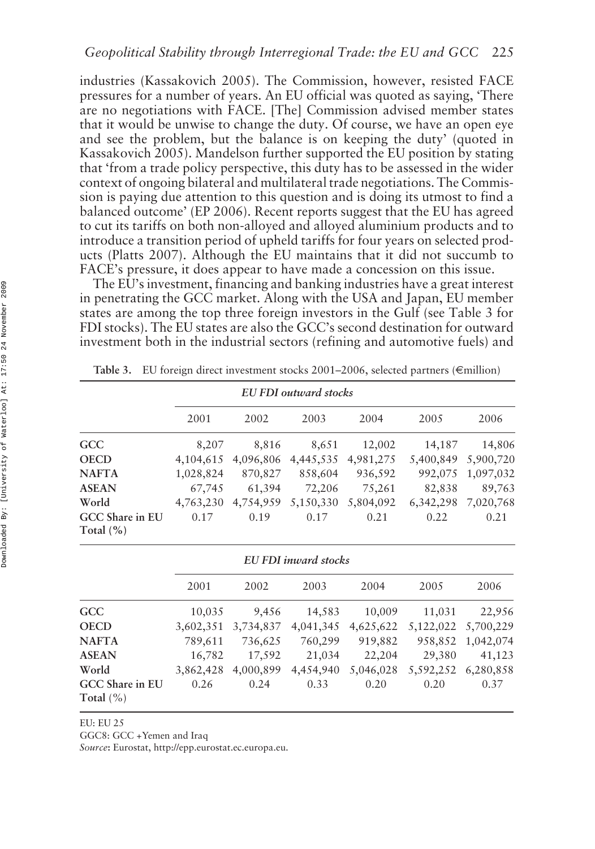industries (Kassakovich 2005). The Commission, however, resisted FACE pressures for a number of years. An EU official was quoted as saying, 'There are no negotiations with FACE. [The] Commission advised member states that it would be unwise to change the duty. Of course, we have an open eye and see the problem, but the balance is on keeping the duty' (quoted in Kassakovich 2005). Mandelson further supported the EU position by stating that 'from a trade policy perspective, this duty has to be assessed in the wider context of ongoing bilateral and multilateral trade negotiations. The Commission is paying due attention to this question and is doing its utmost to find a balanced outcome' (EP 2006). Recent reports suggest that the EU has agreed to cut its tariffs on both non-alloyed and alloyed aluminium products and to introduce a transition period of upheld tariffs for four years on selected products (Platts 2007). Although the EU maintains that it did not succumb to FACE's pressure, it does appear to have made a concession on this issue.

The EU's investment, financing and banking industries have a great interest in penetrating the GCC market. Along with the USA and Japan, EU member states are among the top three foreign investors in the Gulf (see Table 3 for FDI stocks). The EU states are also the GCC's second destination for outward investment both in the industrial sectors (refining and automotive fuels) and

|                                  |             | <b>EU FDI</b> outward stocks |           |           |           |           |  |  |
|----------------------------------|-------------|------------------------------|-----------|-----------|-----------|-----------|--|--|
|                                  | 2001        | 2002                         | 2003      | 2004      | 2005      | 2006      |  |  |
| GCC                              | 8,207       | 8,816                        | 8,651     | 12,002    | 14,187    | 14,806    |  |  |
| <b>OECD</b>                      | 4, 104, 615 | 4,096,806                    | 4,445,535 | 4,981,275 | 5,400,849 | 5,900,720 |  |  |
| <b>NAFTA</b>                     | 1,028,824   | 870,827                      | 858,604   | 936,592   | 992,075   | 1,097,032 |  |  |
| <b>ASEAN</b>                     | 67,745      | 61,394                       | 72,206    | 75,261    | 82,838    | 89,763    |  |  |
| World                            | 4,763,230   | 4,754,959                    | 5,150,330 | 5,804,092 | 6,342,298 | 7,020,768 |  |  |
| GCC Share in EU<br>Total $(\% )$ | 0.17        | 0.19                         | 0.17      | 0.21      | 0.22      | 0.21      |  |  |

**Table 3.** EU foreign direct investment stocks 2001–2006, selected partners (€million)

|                                  | <b>EU FDI</b> inward stocks |           |           |           |                     |           |  |
|----------------------------------|-----------------------------|-----------|-----------|-----------|---------------------|-----------|--|
|                                  | 2001                        | 2002      | 2003      | 2004      | 2005                | 2006      |  |
| <b>GCC</b>                       | 10,035                      | 9,456     | 14,583    | 10,009    | 11,031              | 22,956    |  |
| <b>OECD</b>                      | 3,602,351                   | 3,734,837 | 4,041,345 | 4,625,622 | 5,122,022 5,700,229 |           |  |
| <b>NAFTA</b>                     | 789,611                     | 736,625   | 760,299   | 919,882   | 958,852             | 1,042,074 |  |
| <b>ASEAN</b>                     | 16,782                      | 17,592    | 21,034    | 22,204    | 29,380              | 41,123    |  |
| World                            | 3,862,428                   | 4,000,899 | 4,454,940 | 5,046,028 | 5,592,252           | 6,280,858 |  |
| GCC Share in EU<br>Total $(\% )$ | 0.26                        | 0.24      | 0.33      | 0.20      | 0.20                | 0.37      |  |

EU: EU 25

GGC8: GCC +Yemen and Iraq

*Source***:** Eurostat, http://epp.eurostat.ec.europa.eu.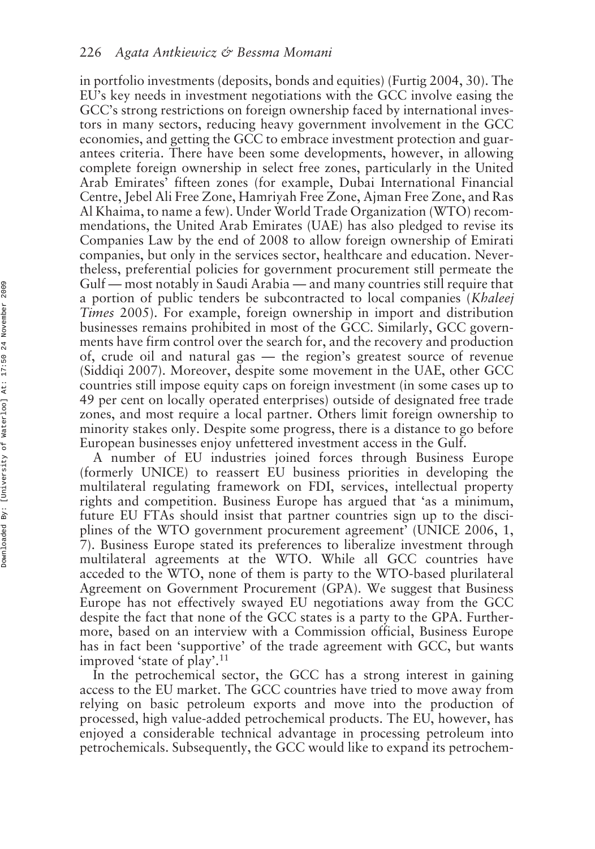in portfolio investments (deposits, bonds and equities) (Furtig 2004, 30). The EU's key needs in investment negotiations with the GCC involve easing the GCC's strong restrictions on foreign ownership faced by international investors in many sectors, reducing heavy government involvement in the GCC economies, and getting the GCC to embrace investment protection and guarantees criteria. There have been some developments, however, in allowing complete foreign ownership in select free zones, particularly in the United Arab Emirates' fifteen zones (for example, Dubai International Financial Centre, Jebel Ali Free Zone, Hamriyah Free Zone, Ajman Free Zone, and Ras Al Khaima, to name a few). Under World Trade Organization (WTO) recommendations, the United Arab Emirates (UAE) has also pledged to revise its Companies Law by the end of 2008 to allow foreign ownership of Emirati companies, but only in the services sector, healthcare and education. Nevertheless, preferential policies for government procurement still permeate the Gulf — most notably in Saudi Arabia — and many countries still require that a portion of public tenders be subcontracted to local companies (*Khaleej Times* 2005). For example, foreign ownership in import and distribution businesses remains prohibited in most of the GCC. Similarly, GCC governments have firm control over the search for, and the recovery and production of, crude oil and natural gas — the region's greatest source of revenue (Siddiqi 2007). Moreover, despite some movement in the UAE, other GCC countries still impose equity caps on foreign investment (in some cases up to 49 per cent on locally operated enterprises) outside of designated free trade zones, and most require a local partner. Others limit foreign ownership to minority stakes only. Despite some progress, there is a distance to go before European businesses enjoy unfettered investment access in the Gulf.

A number of EU industries joined forces through Business Europe (formerly UNICE) to reassert EU business priorities in developing the multilateral regulating framework on FDI, services, intellectual property rights and competition. Business Europe has argued that 'as a minimum, future EU FTAs should insist that partner countries sign up to the disciplines of the WTO government procurement agreement' (UNICE 2006, 1, 7). Business Europe stated its preferences to liberalize investment through multilateral agreements at the WTO. While all GCC countries have acceded to the WTO, none of them is party to the WTO-based plurilateral Agreement on Government Procurement (GPA). We suggest that Business Europe has not effectively swayed EU negotiations away from the GCC despite the fact that none of the GCC states is a party to the GPA. Furthermore, based on an interview with a Commission official, Business Europe has in fact been 'supportive' of the trade agreement with GCC, but wants improved 'state of play'.11

In the petrochemical sector, the GCC has a strong interest in gaining access to the EU market. The GCC countries have tried to move away from relying on basic petroleum exports and move into the production of processed, high value-added petrochemical products. The EU, however, has enjoyed a considerable technical advantage in processing petroleum into petrochemicals. Subsequently, the GCC would like to expand its petrochem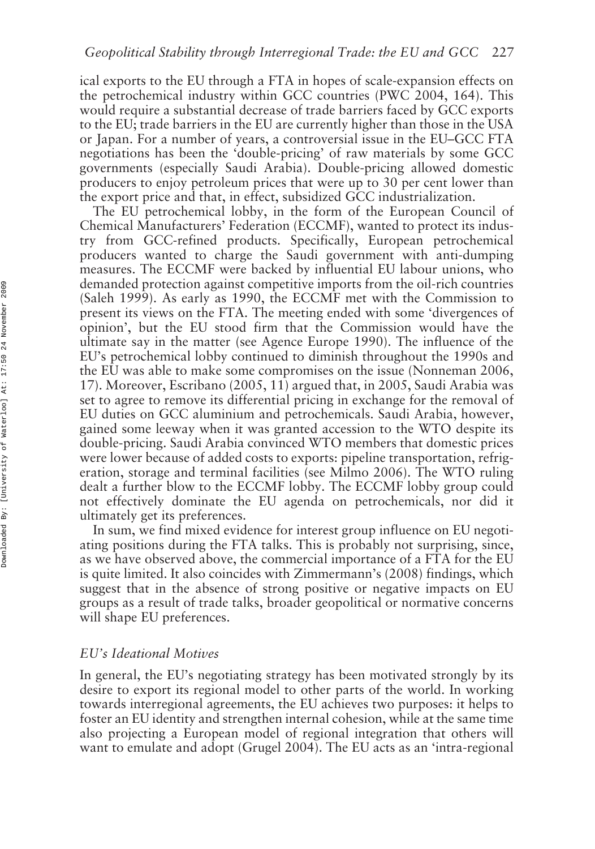ical exports to the EU through a FTA in hopes of scale-expansion effects on the petrochemical industry within GCC countries (PWC 2004, 164). This would require a substantial decrease of trade barriers faced by GCC exports to the EU; trade barriers in the EU are currently higher than those in the USA or Japan. For a number of years, a controversial issue in the EU–GCC FTA negotiations has been the 'double-pricing' of raw materials by some GCC governments (especially Saudi Arabia). Double-pricing allowed domestic producers to enjoy petroleum prices that were up to 30 per cent lower than the export price and that, in effect, subsidized GCC industrialization.

The EU petrochemical lobby, in the form of the European Council of Chemical Manufacturers' Federation (ECCMF), wanted to protect its industry from GCC-refined products. Specifically, European petrochemical producers wanted to charge the Saudi government with anti-dumping measures. The ECCMF were backed by influential EU labour unions, who demanded protection against competitive imports from the oil-rich countries (Saleh 1999). As early as 1990, the ECCMF met with the Commission to present its views on the FTA. The meeting ended with some 'divergences of opinion', but the EU stood firm that the Commission would have the ultimate say in the matter (see Agence Europe 1990). The influence of the EU's petrochemical lobby continued to diminish throughout the 1990s and the EU was able to make some compromises on the issue (Nonneman 2006, 17). Moreover, Escribano (2005, 11) argued that, in 2005, Saudi Arabia was set to agree to remove its differential pricing in exchange for the removal of EU duties on GCC aluminium and petrochemicals. Saudi Arabia, however, gained some leeway when it was granted accession to the WTO despite its double-pricing. Saudi Arabia convinced WTO members that domestic prices were lower because of added costs to exports: pipeline transportation, refrigeration, storage and terminal facilities (see Milmo 2006). The WTO ruling dealt a further blow to the ECCMF lobby. The ECCMF lobby group could not effectively dominate the EU agenda on petrochemicals, nor did it ultimately get its preferences.

In sum, we find mixed evidence for interest group influence on EU negotiating positions during the FTA talks. This is probably not surprising, since, as we have observed above, the commercial importance of a FTA for the EU is quite limited. It also coincides with Zimmermann's (2008) findings, which suggest that in the absence of strong positive or negative impacts on EU groups as a result of trade talks, broader geopolitical or normative concerns will shape EU preferences.

#### *EU's Ideational Motives*

In general, the EU's negotiating strategy has been motivated strongly by its desire to export its regional model to other parts of the world. In working towards interregional agreements, the EU achieves two purposes: it helps to foster an EU identity and strengthen internal cohesion, while at the same time also projecting a European model of regional integration that others will want to emulate and adopt (Grugel 2004). The EU acts as an 'intra-regional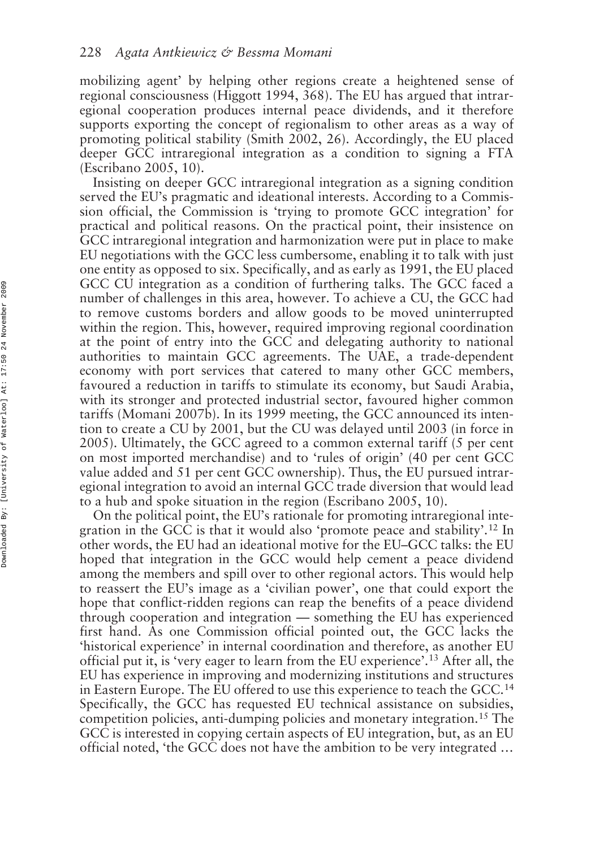mobilizing agent' by helping other regions create a heightened sense of regional consciousness (Higgott 1994, 368). The EU has argued that intraregional cooperation produces internal peace dividends, and it therefore supports exporting the concept of regionalism to other areas as a way of promoting political stability (Smith 2002, 26). Accordingly, the EU placed deeper GCC intraregional integration as a condition to signing a FTA (Escribano 2005, 10).

Insisting on deeper GCC intraregional integration as a signing condition served the EU's pragmatic and ideational interests. According to a Commission official, the Commission is 'trying to promote GCC integration' for practical and political reasons. On the practical point, their insistence on GCC intraregional integration and harmonization were put in place to make EU negotiations with the GCC less cumbersome, enabling it to talk with just one entity as opposed to six. Specifically, and as early as 1991, the EU placed GCC CU integration as a condition of furthering talks. The GCC faced a number of challenges in this area, however. To achieve a CU, the GCC had to remove customs borders and allow goods to be moved uninterrupted within the region. This, however, required improving regional coordination at the point of entry into the GCC and delegating authority to national authorities to maintain GCC agreements. The UAE, a trade-dependent economy with port services that catered to many other GCC members, favoured a reduction in tariffs to stimulate its economy, but Saudi Arabia, with its stronger and protected industrial sector, favoured higher common tariffs (Momani 2007b). In its 1999 meeting, the GCC announced its intention to create a CU by 2001, but the CU was delayed until 2003 (in force in 2005). Ultimately, the GCC agreed to a common external tariff (5 per cent on most imported merchandise) and to 'rules of origin' (40 per cent GCC value added and 51 per cent GCC ownership). Thus, the EU pursued intraregional integration to avoid an internal GCC trade diversion that would lead to a hub and spoke situation in the region (Escribano 2005, 10).

On the political point, the EU's rationale for promoting intraregional integration in the GCC is that it would also 'promote peace and stability'.12 In other words, the EU had an ideational motive for the EU–GCC talks: the EU hoped that integration in the GCC would help cement a peace dividend among the members and spill over to other regional actors. This would help to reassert the EU's image as a 'civilian power', one that could export the hope that conflict-ridden regions can reap the benefits of a peace dividend through cooperation and integration — something the EU has experienced first hand. As one Commission official pointed out, the GCC lacks the 'historical experience' in internal coordination and therefore, as another EU official put it, is 'very eager to learn from the EU experience'.13 After all, the EU has experience in improving and modernizing institutions and structures in Eastern Europe. The EU offered to use this experience to teach the GCC.14 Specifically, the GCC has requested EU technical assistance on subsidies, competition policies, anti-dumping policies and monetary integration.15 The GCC is interested in copying certain aspects of EU integration, but, as an EU official noted, 'the GCC does not have the ambition to be very integrated …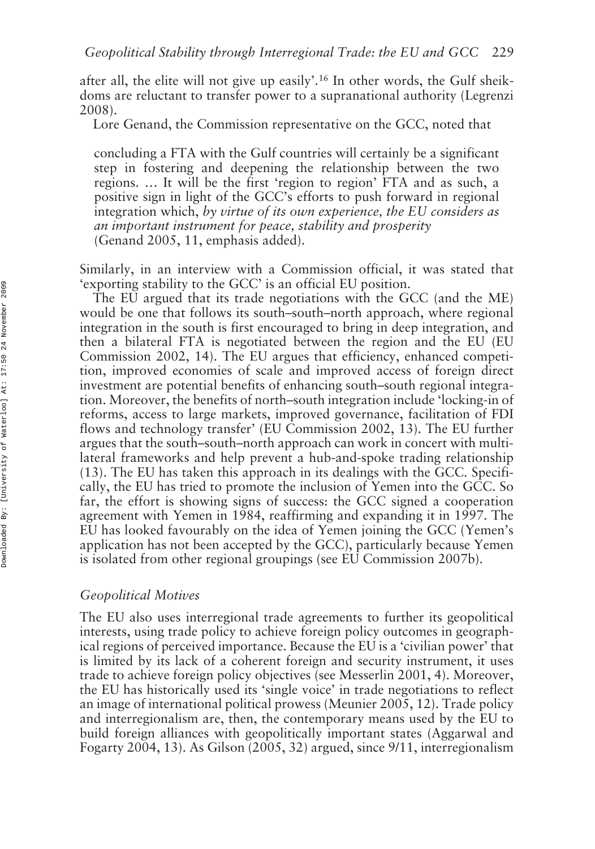after all, the elite will not give up easily'.16 In other words, the Gulf sheikdoms are reluctant to transfer power to a supranational authority (Legrenzi 2008).

Lore Genand, the Commission representative on the GCC, noted that

concluding a FTA with the Gulf countries will certainly be a significant step in fostering and deepening the relationship between the two regions. … It will be the first 'region to region' FTA and as such, a positive sign in light of the GCC's efforts to push forward in regional integration which, *by virtue of its own experience, the EU considers as an important instrument for peace, stability and prosperity* (Genand 2005, 11, emphasis added).

Similarly, in an interview with a Commission official, it was stated that 'exporting stability to the GCC' is an official EU position.

The EU argued that its trade negotiations with the GCC (and the ME) would be one that follows its south–south–north approach, where regional integration in the south is first encouraged to bring in deep integration, and then a bilateral FTA is negotiated between the region and the EU (EU Commission 2002, 14). The EU argues that efficiency, enhanced competition, improved economies of scale and improved access of foreign direct investment are potential benefits of enhancing south–south regional integration. Moreover, the benefits of north–south integration include 'locking-in of reforms, access to large markets, improved governance, facilitation of FDI flows and technology transfer' (EU Commission 2002, 13). The EU further argues that the south–south–north approach can work in concert with multilateral frameworks and help prevent a hub-and-spoke trading relationship (13). The EU has taken this approach in its dealings with the GCC. Specifically, the EU has tried to promote the inclusion of Yemen into the GCC. So far, the effort is showing signs of success: the GCC signed a cooperation agreement with Yemen in 1984, reaffirming and expanding it in 1997. The EU has looked favourably on the idea of Yemen joining the GCC (Yemen's application has not been accepted by the GCC), particularly because Yemen is isolated from other regional groupings (see EU Commission 2007b).

#### *Geopolitical Motives*

The EU also uses interregional trade agreements to further its geopolitical interests, using trade policy to achieve foreign policy outcomes in geographical regions of perceived importance. Because the EU is a 'civilian power' that is limited by its lack of a coherent foreign and security instrument, it uses trade to achieve foreign policy objectives (see Messerlin 2001, 4). Moreover, the EU has historically used its 'single voice' in trade negotiations to reflect an image of international political prowess (Meunier 2005, 12). Trade policy and interregionalism are, then, the contemporary means used by the EU to build foreign alliances with geopolitically important states (Aggarwal and Fogarty 2004, 13). As Gilson (2005, 32) argued, since 9/11, interregionalism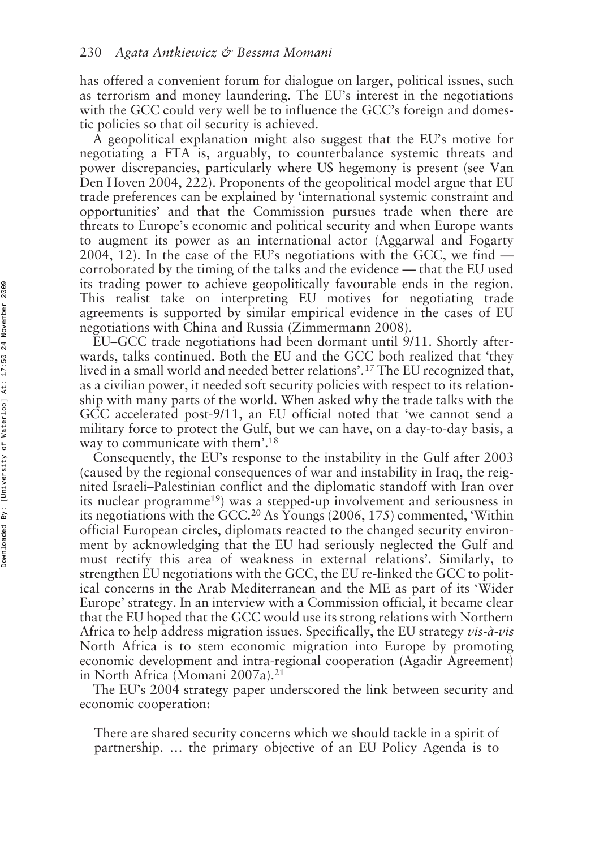has offered a convenient forum for dialogue on larger, political issues, such as terrorism and money laundering. The EU's interest in the negotiations with the GCC could very well be to influence the GCC's foreign and domestic policies so that oil security is achieved.

A geopolitical explanation might also suggest that the EU's motive for negotiating a FTA is, arguably, to counterbalance systemic threats and power discrepancies, particularly where US hegemony is present (see Van Den Hoven 2004, 222). Proponents of the geopolitical model argue that EU trade preferences can be explained by 'international systemic constraint and opportunities' and that the Commission pursues trade when there are threats to Europe's economic and political security and when Europe wants to augment its power as an international actor (Aggarwal and Fogarty 2004, 12). In the case of the EU's negotiations with the GCC, we find corroborated by the timing of the talks and the evidence — that the EU used its trading power to achieve geopolitically favourable ends in the region. This realist take on interpreting EU motives for negotiating trade agreements is supported by similar empirical evidence in the cases of EU negotiations with China and Russia (Zimmermann 2008).

EU–GCC trade negotiations had been dormant until 9/11. Shortly afterwards, talks continued. Both the EU and the GCC both realized that 'they lived in a small world and needed better relations'.17 The EU recognized that, as a civilian power, it needed soft security policies with respect to its relationship with many parts of the world. When asked why the trade talks with the GCC accelerated post-9/11, an EU official noted that 'we cannot send a military force to protect the Gulf, but we can have, on a day-to-day basis, a way to communicate with them'.18

Consequently, the EU's response to the instability in the Gulf after 2003 (caused by the regional consequences of war and instability in Iraq, the reignited Israeli–Palestinian conflict and the diplomatic standoff with Iran over its nuclear programme<sup>19</sup>) was a stepped-up involvement and seriousness in its negotiations with the GCC.20 As Youngs (2006, 175) commented, 'Within official European circles, diplomats reacted to the changed security environment by acknowledging that the EU had seriously neglected the Gulf and must rectify this area of weakness in external relations'. Similarly, to strengthen EU negotiations with the GCC, the EU re-linked the GCC to political concerns in the Arab Mediterranean and the ME as part of its 'Wider Europe' strategy. In an interview with a Commission official, it became clear that the EU hoped that the GCC would use its strong relations with Northern Africa to help address migration issues. Specifically, the EU strategy *vis-à-vis* North Africa is to stem economic migration into Europe by promoting economic development and intra-regional cooperation (Agadir Agreement) in North Africa (Momani 2007a).21

The EU's 2004 strategy paper underscored the link between security and economic cooperation:

There are shared security concerns which we should tackle in a spirit of partnership. … the primary objective of an EU Policy Agenda is to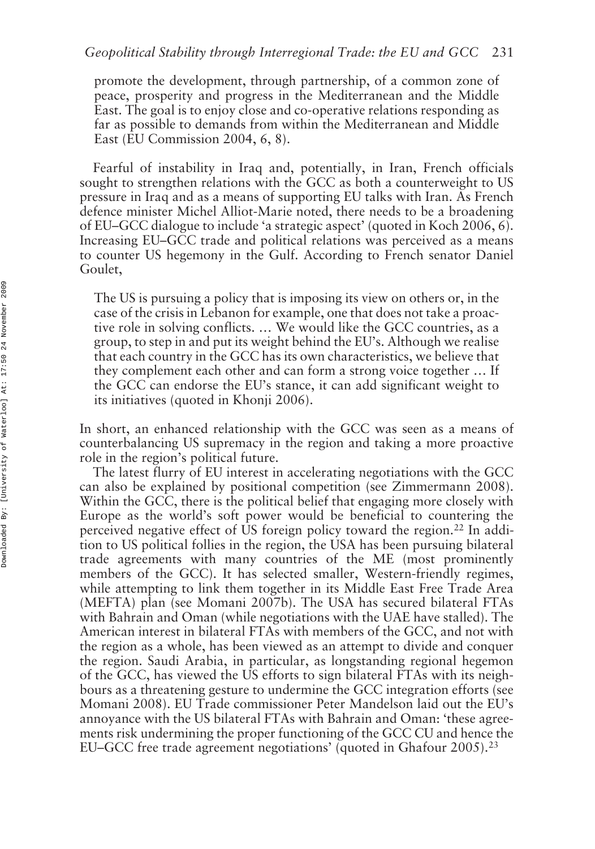promote the development, through partnership, of a common zone of peace, prosperity and progress in the Mediterranean and the Middle East. The goal is to enjoy close and co-operative relations responding as far as possible to demands from within the Mediterranean and Middle East (EU Commission 2004, 6, 8).

Fearful of instability in Iraq and, potentially, in Iran, French officials sought to strengthen relations with the GCC as both a counterweight to US pressure in Iraq and as a means of supporting EU talks with Iran. As French defence minister Michel Alliot-Marie noted, there needs to be a broadening of EU–GCC dialogue to include 'a strategic aspect' (quoted in Koch 2006, 6). Increasing EU–GCC trade and political relations was perceived as a means to counter US hegemony in the Gulf. According to French senator Daniel Goulet,

The US is pursuing a policy that is imposing its view on others or, in the case of the crisis in Lebanon for example, one that does not take a proactive role in solving conflicts. … We would like the GCC countries, as a group, to step in and put its weight behind the EU's. Although we realise that each country in the GCC has its own characteristics, we believe that they complement each other and can form a strong voice together … If the GCC can endorse the EU's stance, it can add significant weight to its initiatives (quoted in Khonji 2006).

In short, an enhanced relationship with the GCC was seen as a means of counterbalancing US supremacy in the region and taking a more proactive role in the region's political future.

The latest flurry of EU interest in accelerating negotiations with the GCC can also be explained by positional competition (see Zimmermann 2008). Within the GCC, there is the political belief that engaging more closely with Europe as the world's soft power would be beneficial to countering the perceived negative effect of US foreign policy toward the region.22 In addition to US political follies in the region, the USA has been pursuing bilateral trade agreements with many countries of the ME (most prominently members of the GCC). It has selected smaller, Western-friendly regimes, while attempting to link them together in its Middle East Free Trade Area (MEFTA) plan (see Momani 2007b). The USA has secured bilateral FTAs with Bahrain and Oman (while negotiations with the UAE have stalled). The American interest in bilateral FTAs with members of the GCC, and not with the region as a whole, has been viewed as an attempt to divide and conquer the region. Saudi Arabia, in particular, as longstanding regional hegemon of the GCC, has viewed the US efforts to sign bilateral FTAs with its neighbours as a threatening gesture to undermine the GCC integration efforts (see Momani 2008). EU Trade commissioner Peter Mandelson laid out the EU's annoyance with the US bilateral FTAs with Bahrain and Oman: 'these agreements risk undermining the proper functioning of the GCC CU and hence the EU–GCC free trade agreement negotiations' (quoted in Ghafour 2005).23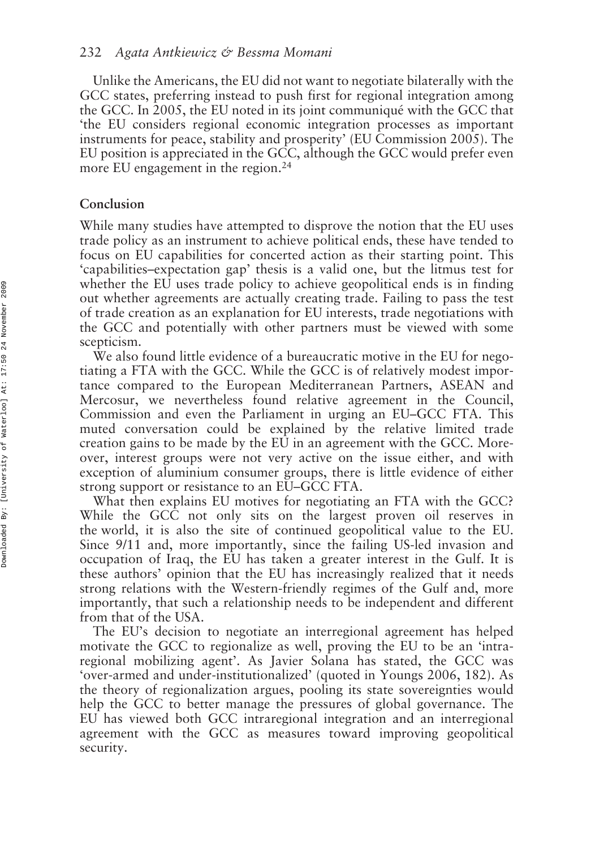Unlike the Americans, the EU did not want to negotiate bilaterally with the GCC states, preferring instead to push first for regional integration among the GCC. In 2005, the EU noted in its joint communiqué with the GCC that 'the EU considers regional economic integration processes as important instruments for peace, stability and prosperity' (EU Commission 2005). The EU position is appreciated in the GCC, although the GCC would prefer even more EU engagement in the region.<sup>24</sup>

#### **Conclusion**

While many studies have attempted to disprove the notion that the EU uses trade policy as an instrument to achieve political ends, these have tended to focus on EU capabilities for concerted action as their starting point. This 'capabilities–expectation gap' thesis is a valid one, but the litmus test for whether the EU uses trade policy to achieve geopolitical ends is in finding out whether agreements are actually creating trade. Failing to pass the test of trade creation as an explanation for EU interests, trade negotiations with the GCC and potentially with other partners must be viewed with some scepticism.

We also found little evidence of a bureaucratic motive in the EU for negotiating a FTA with the GCC. While the GCC is of relatively modest importance compared to the European Mediterranean Partners, ASEAN and Mercosur, we nevertheless found relative agreement in the Council, Commission and even the Parliament in urging an EU–GCC FTA. This muted conversation could be explained by the relative limited trade creation gains to be made by the EU in an agreement with the GCC. Moreover, interest groups were not very active on the issue either, and with exception of aluminium consumer groups, there is little evidence of either strong support or resistance to an EU–GCC FTA.

What then explains EU motives for negotiating an FTA with the GCC? While the GCC not only sits on the largest proven oil reserves in the world, it is also the site of continued geopolitical value to the EU. Since 9/11 and, more importantly, since the failing US-led invasion and occupation of Iraq, the EU has taken a greater interest in the Gulf. It is these authors' opinion that the EU has increasingly realized that it needs strong relations with the Western-friendly regimes of the Gulf and, more importantly, that such a relationship needs to be independent and different from that of the USA.

The EU's decision to negotiate an interregional agreement has helped motivate the GCC to regionalize as well, proving the EU to be an 'intraregional mobilizing agent'. As Javier Solana has stated, the GCC was 'over-armed and under-institutionalized' (quoted in Youngs 2006, 182). As the theory of regionalization argues, pooling its state sovereignties would help the GCC to better manage the pressures of global governance. The EU has viewed both GCC intraregional integration and an interregional agreement with the GCC as measures toward improving geopolitical security.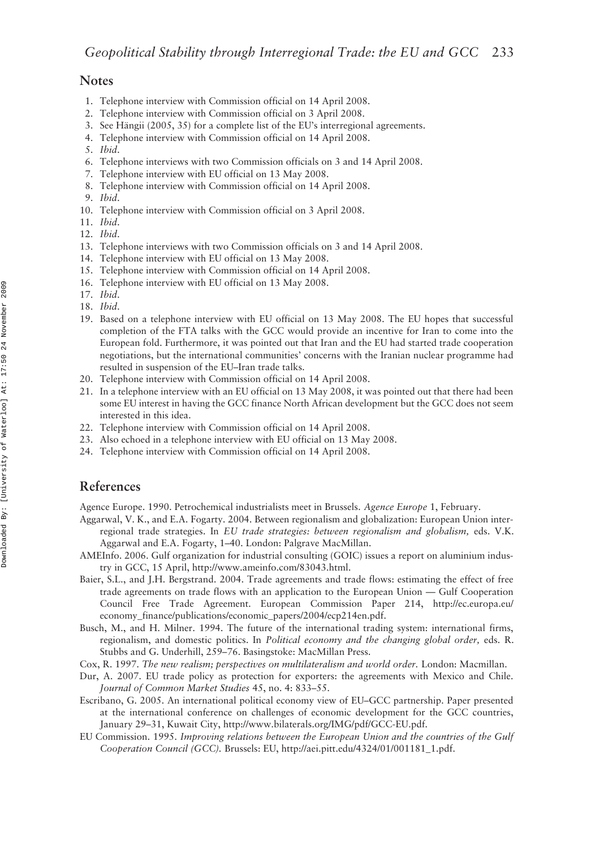#### **Notes**

- 1. Telephone interview with Commission official on 14 April 2008.
- 2. Telephone interview with Commission official on 3 April 2008.
- 3. See Hängii (2005, 35) for a complete list of the EU's interregional agreements.
- 4. Telephone interview with Commission official on 14 April 2008.
- 5. *Ibid*.
- 6. Telephone interviews with two Commission officials on 3 and 14 April 2008.
- 7. Telephone interview with EU official on 13 May 2008.
- 8. Telephone interview with Commission official on 14 April 2008.
- 9. *Ibid*.
- 10. Telephone interview with Commission official on 3 April 2008.
- 11. *Ibid*.
- 12. *Ibid*.
- 13. Telephone interviews with two Commission officials on 3 and 14 April 2008.
- 14. Telephone interview with EU official on 13 May 2008.
- 15. Telephone interview with Commission official on 14 April 2008.
- 16. Telephone interview with EU official on 13 May 2008.
- 17. *Ibid*.
- 18. *Ibid*.
- 19. Based on a telephone interview with EU official on 13 May 2008. The EU hopes that successful completion of the FTA talks with the GCC would provide an incentive for Iran to come into the European fold. Furthermore, it was pointed out that Iran and the EU had started trade cooperation negotiations, but the international communities' concerns with the Iranian nuclear programme had resulted in suspension of the EU–Iran trade talks.
- 20. Telephone interview with Commission official on 14 April 2008.
- 21. In a telephone interview with an EU official on 13 May 2008, it was pointed out that there had been some EU interest in having the GCC finance North African development but the GCC does not seem interested in this idea.
- 22. Telephone interview with Commission official on 14 April 2008.
- 23. Also echoed in a telephone interview with EU official on 13 May 2008.
- 24. Telephone interview with Commission official on 14 April 2008.

#### **References**

Agence Europe. 1990. Petrochemical industrialists meet in Brussels. *Agence Europe* 1, February.

- Aggarwal, V. K., and E.A. Fogarty. 2004. Between regionalism and globalization: European Union interregional trade strategies. In *EU trade strategies: between regionalism and globalism,* eds. V.K. Aggarwal and E.A. Fogarty, 1–40. London: Palgrave MacMillan.
- AMEInfo. 2006. Gulf organization for industrial consulting (GOIC) issues a report on aluminium industry in GCC, 15 April, http://www.ameinfo.com/83043.html.
- Baier, S.L., and J.H. Bergstrand. 2004. Trade agreements and trade flows: estimating the effect of free trade agreements on trade flows with an application to the European Union — Gulf Cooperation Council Free Trade Agreement. European Commission Paper 214, http://ec.europa.eu/ economy\_finance/publications/economic\_papers/2004/ecp214en.pdf.
- Busch, M., and H. Milner. 1994. The future of the international trading system: international firms, regionalism, and domestic politics. In *Political economy and the changing global order,* eds. R. Stubbs and G. Underhill, 259–76. Basingstoke: MacMillan Press.
- Cox, R. 1997. *The new realism; perspectives on multilateralism and world order.* London: Macmillan.
- Dur, A. 2007. EU trade policy as protection for exporters: the agreements with Mexico and Chile. *Journal of Common Market Studies* 45, no. 4: 833–55.
- Escribano, G. 2005. An international political economy view of EU–GCC partnership. Paper presented at the international conference on challenges of economic development for the GCC countries, January 29–31, Kuwait City, http://www.bilaterals.org/IMG/pdf/GCC-EU.pdf.
- EU Commission. 1995. *Improving relations between the European Union and the countries of the Gulf Cooperation Council (GCC).* Brussels: EU, http://aei.pitt.edu/4324/01/001181\_1.pdf.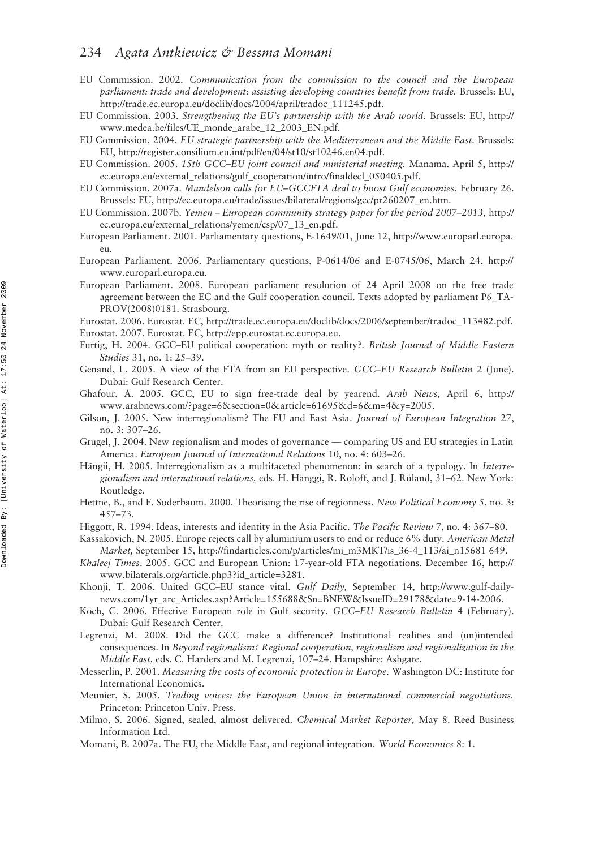#### 234 *Agata Antkiewicz & Bessma Momani*

- EU Commission. 2002. *Communication from the commission to the council and the European parliament: trade and development: assisting developing countries benefit from trade.* Brussels: EU, http://trade.ec.europa.eu/doclib/docs/2004/april/tradoc\_111245.pdf.
- EU Commission. 2003. *Strengthening the EU's partnership with the Arab world.* Brussels: EU, http:// www.medea.be/files/UE\_monde\_arabe\_12\_2003\_EN.pdf.
- EU Commission. 2004. *EU strategic partnership with the Mediterranean and the Middle East.* Brussels: EU, http://register.consilium.eu.int/pdf/en/04/st10/st10246.en04.pdf.
- EU Commission. 2005. *15th GCC–EU joint council and ministerial meeting.* Manama. April 5, http:// ec.europa.eu/external\_relations/gulf\_cooperation/intro/finaldecl\_050405.pdf.
- EU Commission. 2007a. *Mandelson calls for EU–GCCFTA deal to boost Gulf economies.* February 26. Brussels: EU, http://ec.europa.eu/trade/issues/bilateral/regions/gcc/pr260207\_en.htm.
- EU Commission. 2007b. *Yemen European community strategy paper for the period 2007–2013,* http:// ec.europa.eu/external\_relations/yemen/csp/07\_13\_en.pdf.
- European Parliament. 2001. Parliamentary questions, E-1649/01, June 12, http://www.europarl.europa. eu.
- European Parliament. 2006. Parliamentary questions, P-0614/06 and E-0745/06, March 24, http:// www.europarl.europa.eu.
- European Parliament. 2008. European parliament resolution of 24 April 2008 on the free trade agreement between the EC and the Gulf cooperation council. Texts adopted by parliament P6\_TA-PROV(2008)0181. Strasbourg.

Eurostat. 2006. Eurostat. EC, http://trade.ec.europa.eu/doclib/docs/2006/september/tradoc\_113482.pdf. Eurostat. 2007. Eurostat. EC, http://epp.eurostat.ec.europa.eu.

- Furtig, H. 2004. GCC–EU political cooperation: myth or reality?. *British Journal of Middle Eastern Studies* 31, no. 1: 25–39.
- Genand, L. 2005. A view of the FTA from an EU perspective. *GCC–EU Research Bulletin* 2 (June). Dubai: Gulf Research Center.
- Ghafour, A. 2005. GCC, EU to sign free-trade deal by yearend. *Arab News,* April 6, http:// www.arabnews.com/?page=6&section=0&article=61695&d=6&m=4&y=2005.
- Gilson, J. 2005. New interregionalism? The EU and East Asia. *Journal of European Integration* 27, no. 3: 307–26.
- Grugel, J. 2004. New regionalism and modes of governance comparing US and EU strategies in Latin America. *European Journal of International Relations* 10, no. 4: 603–26.
- Hängii, H. 2005. Interregionalism as a multifaceted phenomenon: in search of a typology. In *Interregionalism and international relations,* eds. H. Hänggi, R. Roloff, and J. Rüland, 31–62. New York: Routledge.
- Hettne, B., and F. Soderbaum. 2000. Theorising the rise of regionness. *New Political Economy* 5, no. 3: 457–73.
- Higgott, R. 1994. Ideas, interests and identity in the Asia Pacific. *The Pacific Review* 7, no. 4: 367–80.
- Kassakovich, N. 2005. Europe rejects call by aluminium users to end or reduce 6% duty. *American Metal Market,* September 15, http://findarticles.com/p/articles/mi\_m3MKT/is\_36-4\_113/ai\_n15681 649.
- *Khaleej Times*. 2005. GCC and European Union: 17-year-old FTA negotiations. December 16, http:// www.bilaterals.org/article.php3?id\_article=3281.
- Khonji, T. 2006. United GCC–EU stance vital. *Gulf Daily,* September 14, http://www.gulf-dailynews.com/1yr\_arc\_Articles.asp?Article=155688&Sn=BNEW&IssueID=29178&date=9-14-2006.
- Koch, C. 2006. Effective European role in Gulf security. *GCC–EU Research Bulletin* 4 (February). Dubai: Gulf Research Center.
- Legrenzi, M. 2008. Did the GCC make a difference? Institutional realities and (un)intended consequences. In *Beyond regionalism? Regional cooperation, regionalism and regionalization in the Middle East,* eds. C. Harders and M. Legrenzi, 107–24. Hampshire: Ashgate.
- Messerlin, P. 2001. *Measuring the costs of economic protection in Europe.* Washington DC: Institute for International Economics.
- Meunier, S. 2005. *Trading voices: the European Union in international commercial negotiations.* Princeton: Princeton Univ. Press.
- Milmo, S. 2006. Signed, sealed, almost delivered. *Chemical Market Reporter,* May 8. Reed Business Information Ltd.
- Momani, B. 2007a. The EU, the Middle East, and regional integration. *World Economics* 8: 1.